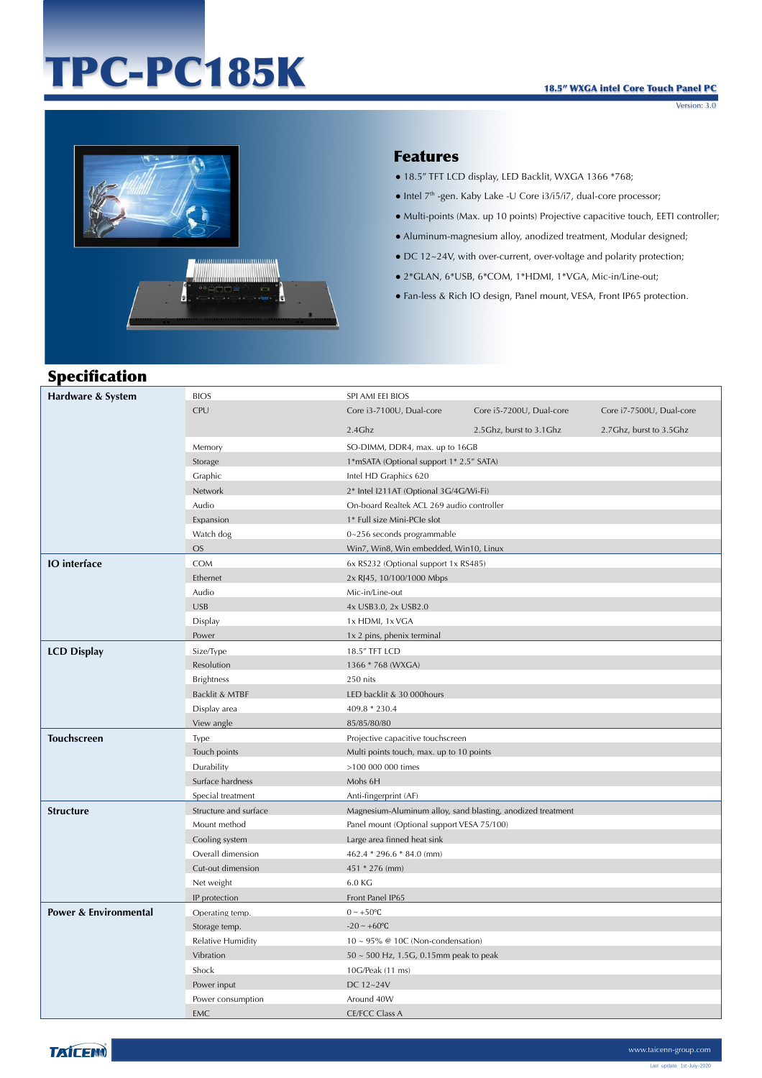# TPC-PC185K



#### Features

- 18.5" TFT LCD display, LED Backlit, WXGA 1366 \*768;
- $\bullet$  Intel  $7<sup>th</sup>$ -gen. Kaby Lake -U Core i3/i5/i7, dual-core processor;
- Multi-points (Max. up 10 points) Projective capacitive touch, EETI controller;
- Aluminum-magnesium alloy, anodized treatment, Modular designed;
- DC 12~24V, with over-current, over-voltage and polarity protection;
- 2\*GLAN, 6\*USB, 6\*COM, 1\*HDMI, 1\*VGA, Mic-in/Line-out;
- Fan-less & Rich IO design, Panel mount, VESA, Front IP65 protection.

## Specification

| Hardware & System     | <b>BIOS</b>           | SPI AMI EEI BIOS                                            |                          |                          |  |
|-----------------------|-----------------------|-------------------------------------------------------------|--------------------------|--------------------------|--|
|                       | CPU                   | Core i3-7100U, Dual-core                                    | Core i5-7200U, Dual-core | Core i7-7500U, Dual-core |  |
|                       |                       | 2.4Ghz                                                      | 2.5Ghz, burst to 3.1Ghz  | 2.7Ghz, burst to 3.5Ghz  |  |
|                       | Memory                | SO-DIMM, DDR4, max. up to 16GB                              |                          |                          |  |
|                       | Storage               | 1*mSATA (Optional support 1* 2.5" SATA)                     |                          |                          |  |
|                       | Graphic               | Intel HD Graphics 620                                       |                          |                          |  |
|                       | Network               | 2* Intel I211AT (Optional 3G/4G/Wi-Fi)                      |                          |                          |  |
|                       | Audio                 | On-board Realtek ACL 269 audio controller                   |                          |                          |  |
|                       | Expansion             | 1* Full size Mini-PCle slot                                 |                          |                          |  |
|                       | Watch dog             | $0 - 256$ seconds programmable                              |                          |                          |  |
|                       | <b>OS</b>             | Win7, Win8, Win embedded, Win10, Linux                      |                          |                          |  |
| <b>IO</b> interface   | COM                   | 6x RS232 (Optional support 1x RS485)                        |                          |                          |  |
|                       | Ethernet              | 2x RJ45, 10/100/1000 Mbps                                   |                          |                          |  |
|                       | Audio                 | Mic-in/Line-out                                             |                          |                          |  |
|                       | <b>USB</b>            | 4x USB3.0, 2x USB2.0                                        |                          |                          |  |
|                       | Display               | 1x HDMI, 1x VGA                                             |                          |                          |  |
|                       | Power                 | 1x 2 pins, phenix terminal                                  |                          |                          |  |
| <b>LCD Display</b>    | Size/Type             | 18.5" TFT LCD                                               |                          |                          |  |
|                       | Resolution            | 1366 * 768 (WXGA)                                           |                          |                          |  |
|                       | <b>Brightness</b>     | 250 nits                                                    |                          |                          |  |
|                       | Backlit & MTBF        | LED backlit & 30 000hours                                   |                          |                          |  |
|                       | Display area          | 409.8 * 230.4                                               |                          |                          |  |
|                       | View angle            | 85/85/80/80                                                 |                          |                          |  |
| <b>Touchscreen</b>    | Type                  | Projective capacitive touchscreen                           |                          |                          |  |
|                       | Touch points          | Multi points touch, max. up to 10 points                    |                          |                          |  |
|                       | Durability            | >100 000 000 times                                          |                          |                          |  |
|                       | Surface hardness      | Mohs 6H                                                     |                          |                          |  |
|                       | Special treatment     | Anti-fingerprint (AF)                                       |                          |                          |  |
| <b>Structure</b>      | Structure and surface | Magnesium-Aluminum alloy, sand blasting, anodized treatment |                          |                          |  |
|                       | Mount method          | Panel mount (Optional support VESA 75/100)                  |                          |                          |  |
|                       | Cooling system        | Large area finned heat sink                                 |                          |                          |  |
|                       | Overall dimension     | 462.4 * 296.6 * 84.0 (mm)                                   |                          |                          |  |
|                       | Cut-out dimension     | 451 * 276 (mm)                                              |                          |                          |  |
|                       | Net weight            | 6.0 KG                                                      |                          |                          |  |
|                       | IP protection         | Front Panel IP65                                            |                          |                          |  |
| Power & Environmental | Operating temp.       | $0 \sim +50$ °C                                             |                          |                          |  |
|                       | Storage temp.         | $-20 \sim +60$ °C                                           |                          |                          |  |
|                       | Relative Humidity     | $10 \sim 95\%$ @ 10C (Non-condensation)                     |                          |                          |  |
|                       | Vibration             | 50 ~ 500 Hz, 1.5G, 0.15mm peak to peak                      |                          |                          |  |
|                       | Shock                 | 10G/Peak (11 ms)                                            |                          |                          |  |
|                       | Power input           | DC 12~24V                                                   |                          |                          |  |
|                       | Power consumption     | Around 40W                                                  |                          |                          |  |
|                       | <b>EMC</b>            | <b>CE/FCC Class A</b>                                       |                          |                          |  |